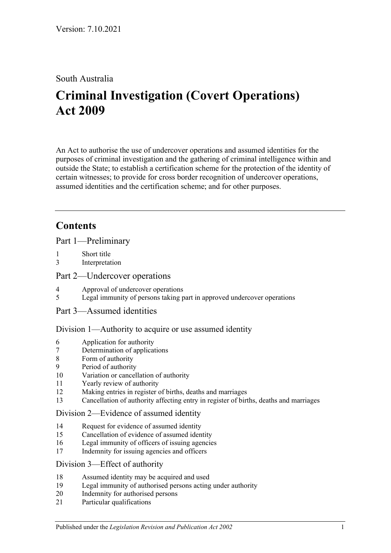## South Australia

# **Criminal Investigation (Covert Operations) Act 2009**

An Act to authorise the use of undercover operations and assumed identities for the purposes of criminal investigation and the gathering of criminal intelligence within and outside the State; to establish a certification scheme for the protection of the identity of certain witnesses; to provide for cross border recognition of undercover operations, assumed identities and the certification scheme; and for other purposes.

# **Contents**

[Part 1—Preliminary](#page-2-0)

- 1 [Short title](#page-2-1)
- 3 [Interpretation](#page-2-2)

#### [Part 2—Undercover operations](#page-6-0)

- 4 [Approval of undercover operations](#page-6-1)
- 5 [Legal immunity of persons taking part in approved undercover operations](#page-8-0)
- [Part 3—Assumed identities](#page-8-1)

## [Division 1—Authority to acquire or use assumed identity](#page-8-2)

- 6 [Application for authority](#page-8-3)
- 7 [Determination of applications](#page-9-0)
- 8 [Form of authority](#page-9-1)
- 9 [Period of authority](#page-10-0)
- 10 [Variation or cancellation of authority](#page-10-1)
- 11 [Yearly review of authority](#page-11-0)
- 12 [Making entries in register of births, deaths and marriages](#page-11-1)
- 13 [Cancellation of authority affecting entry in register of births, deaths and marriages](#page-11-2)

#### [Division 2—Evidence of assumed identity](#page-12-0)

- 14 [Request for evidence of assumed identity](#page-12-1)
- 15 [Cancellation of evidence of assumed identity](#page-12-2)
- 16 [Legal immunity of officers of issuing agencies](#page-13-0)
- 17 [Indemnity for issuing agencies and officers](#page-13-1)

## [Division 3—Effect of authority](#page-13-2)

- 18 [Assumed identity may be acquired and used](#page-13-3)
- 19 [Legal immunity of authorised persons acting under authority](#page-13-4)
- 20 [Indemnity for authorised persons](#page-14-0)
- 21 [Particular qualifications](#page-14-1)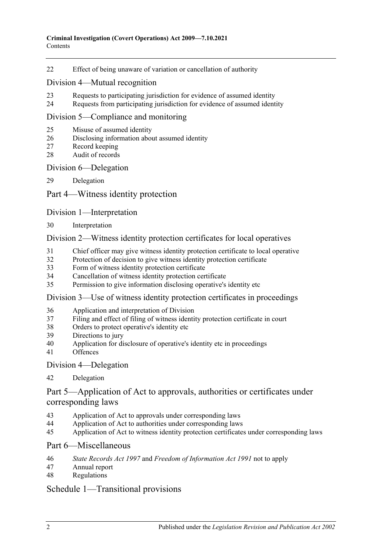[Effect of being unaware of variation or cancellation of authority](#page-14-2)

#### [Division 4—Mutual recognition](#page-14-3)

- [Requests to participating jurisdiction for evidence of assumed identity](#page-14-4)
- [Requests from participating jurisdiction for evidence of assumed identity](#page-15-0)

#### [Division 5—Compliance and monitoring](#page-15-1)

- [Misuse of assumed identity](#page-15-2)
- [Disclosing information about assumed identity](#page-16-0)
- [Record keeping](#page-16-1)
- [Audit of records](#page-17-0)

#### [Division 6—Delegation](#page-17-1)

[Delegation](#page-17-2)

#### [Part 4—Witness identity protection](#page-18-0)

#### [Division 1—Interpretation](#page-18-1)

[Interpretation](#page-18-2)

#### [Division 2—Witness identity protection certificates for local operatives](#page-19-0)

- [Chief officer may give witness identity protection certificate to local operative](#page-19-1)
- [Protection of decision to give witness identity protection certificate](#page-20-0)
- [Form of witness identity protection certificate](#page-20-1)
- [Cancellation of witness identity protection certificate](#page-21-0)
- [Permission to give information disclosing operative's identity etc](#page-21-1)

#### [Division 3—Use of witness identity protection certificates in proceedings](#page-21-2)

- [Application and interpretation of Division](#page-21-3)
- [Filing and effect of filing of witness identity protection certificate in court](#page-22-0)
- [Orders to protect operative's identity etc](#page-23-0)
- [Directions to jury](#page-23-1)
- [Application for disclosure of operative's identity etc in proceedings](#page-23-2)
- [Offences](#page-25-0)

#### [Division 4—Delegation](#page-25-1)

#### [Delegation](#page-25-2)

## [Part 5—Application of Act to approvals, authorities or certificates under](#page-26-0)  [corresponding laws](#page-26-0)

- [Application of Act to approvals under corresponding laws](#page-26-1)
- [Application of Act to authorities under corresponding laws](#page-26-2)
- [Application of Act to witness identity protection certificates under corresponding laws](#page-26-3)

#### [Part 6—Miscellaneous](#page-27-0)

- *State Records Act 1997* and *[Freedom of Information Act](#page-27-1) 1991* not to apply
- [Annual report](#page-27-2)
- [Regulations](#page-28-0)

## [Schedule 1—Transitional provisions](#page-28-1)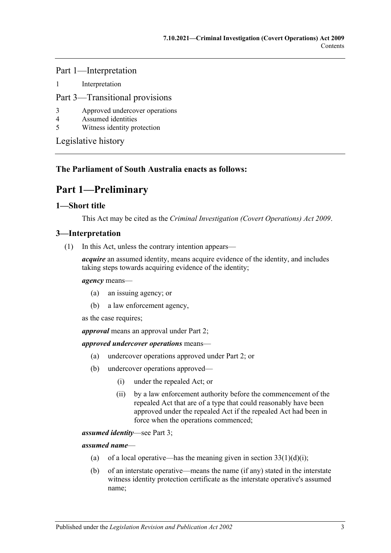Part 1—Interpretation

1 [Interpretation](#page-28-2)

#### Part 3—Transitional provisions

- 3 [Approved undercover operations](#page-29-0)<br>4 Assumed identities
- 4 [Assumed identities](#page-29-1)
- 5 [Witness identity protection](#page-29-2)

[Legislative history](#page-30-0)

## <span id="page-2-0"></span>**The Parliament of South Australia enacts as follows:**

# **Part 1—Preliminary**

#### <span id="page-2-1"></span>**1—Short title**

This Act may be cited as the *Criminal Investigation (Covert Operations) Act 2009*.

## <span id="page-2-2"></span>**3—Interpretation**

(1) In this Act, unless the contrary intention appears—

*acquire* an assumed identity, means acquire evidence of the identity, and includes taking steps towards acquiring evidence of the identity;

#### *agency* means—

- (a) an issuing agency; or
- (b) a law enforcement agency,

as the case requires;

*approval* means an approval under [Part 2;](#page-6-0)

#### *approved undercover operations* means—

- (a) undercover operations approved under [Part 2;](#page-6-0) or
- (b) undercover operations approved—
	- (i) under the repealed Act; or
	- (ii) by a law enforcement authority before the commencement of the repealed Act that are of a type that could reasonably have been approved under the repealed Act if the repealed Act had been in force when the operations commenced;

*assumed identity*—see [Part 3;](#page-8-1)

*assumed name*—

- (a) of a local operative—has the meaning given in section  $33(1)(d)(i)$ ;
- (b) of an interstate operative—means the name (if any) stated in the interstate witness identity protection certificate as the interstate operative's assumed name;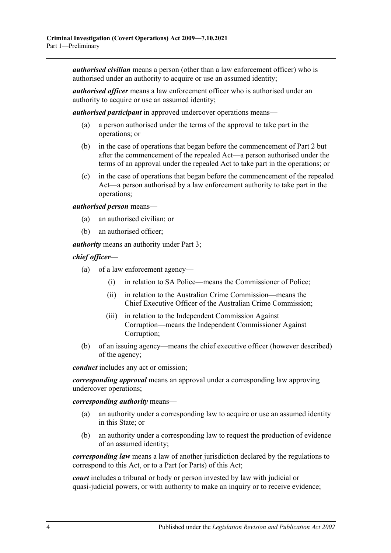*authorised civilian* means a person (other than a law enforcement officer) who is authorised under an authority to acquire or use an assumed identity;

*authorised officer* means a law enforcement officer who is authorised under an authority to acquire or use an assumed identity;

*authorised participant* in approved undercover operations means—

- (a) a person authorised under the terms of the approval to take part in the operations; or
- (b) in the case of operations that began before the commencement of [Part 2](#page-6-0) but after the commencement of the repealed Act—a person authorised under the terms of an approval under the repealed Act to take part in the operations; or
- (c) in the case of operations that began before the commencement of the repealed Act—a person authorised by a law enforcement authority to take part in the operations;

*authorised person* means—

- (a) an authorised civilian; or
- (b) an authorised officer;

*authority* means an authority under [Part 3;](#page-8-1)

*chief officer*—

- (a) of a law enforcement agency—
	- (i) in relation to SA Police—means the Commissioner of Police;
	- (ii) in relation to the Australian Crime Commission—means the Chief Executive Officer of the Australian Crime Commission;
	- (iii) in relation to the Independent Commission Against Corruption—means the Independent Commissioner Against Corruption;
- (b) of an issuing agency—means the chief executive officer (however described) of the agency;

*conduct* includes any act or omission;

*corresponding approval* means an approval under a corresponding law approving undercover operations;

*corresponding authority* means—

- (a) an authority under a corresponding law to acquire or use an assumed identity in this State; or
- (b) an authority under a corresponding law to request the production of evidence of an assumed identity;

*corresponding law* means a law of another jurisdiction declared by the regulations to correspond to this Act, or to a Part (or Parts) of this Act;

*court* includes a tribunal or body or person invested by law with judicial or quasi-judicial powers, or with authority to make an inquiry or to receive evidence;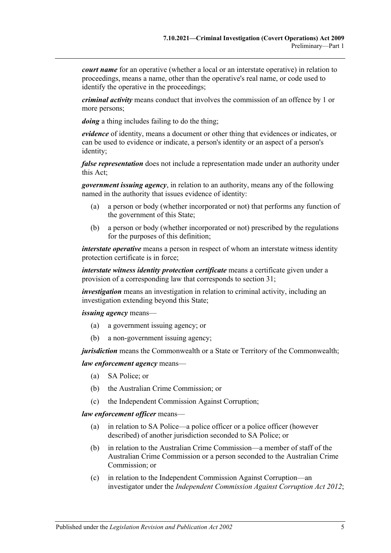*court name* for an operative (whether a local or an interstate operative) in relation to proceedings, means a name, other than the operative's real name, or code used to identify the operative in the proceedings;

*criminal activity* means conduct that involves the commission of an offence by 1 or more persons;

*doing* a thing includes failing to do the thing;

*evidence* of identity, means a document or other thing that evidences or indicates, or can be used to evidence or indicate, a person's identity or an aspect of a person's identity;

*false representation* does not include a representation made under an authority under this Act;

*government issuing agency*, in relation to an authority, means any of the following named in the authority that issues evidence of identity:

- (a) a person or body (whether incorporated or not) that performs any function of the government of this State;
- (b) a person or body (whether incorporated or not) prescribed by the regulations for the purposes of this definition;

*interstate operative* means a person in respect of whom an interstate witness identity protection certificate is in force;

*interstate witness identity protection certificate* means a certificate given under a provision of a corresponding law that corresponds to [section](#page-19-1) 31;

*investigation* means an investigation in relation to criminal activity, including an investigation extending beyond this State;

*issuing agency* means—

- (a) a government issuing agency; or
- (b) a non-government issuing agency;

*jurisdiction* means the Commonwealth or a State or Territory of the Commonwealth;

#### *law enforcement agency* means—

- (a) SA Police; or
- (b) the Australian Crime Commission; or
- (c) the Independent Commission Against Corruption;

*law enforcement officer* means—

- (a) in relation to SA Police—a police officer or a police officer (however described) of another jurisdiction seconded to SA Police; or
- (b) in relation to the Australian Crime Commission—a member of staff of the Australian Crime Commission or a person seconded to the Australian Crime Commission; or
- (c) in relation to the Independent Commission Against Corruption—an investigator under the *[Independent Commission Against Corruption Act](http://www.legislation.sa.gov.au/index.aspx?action=legref&type=act&legtitle=Independent%20Commission%20Against%20Corruption%20Act%202012) 2012*;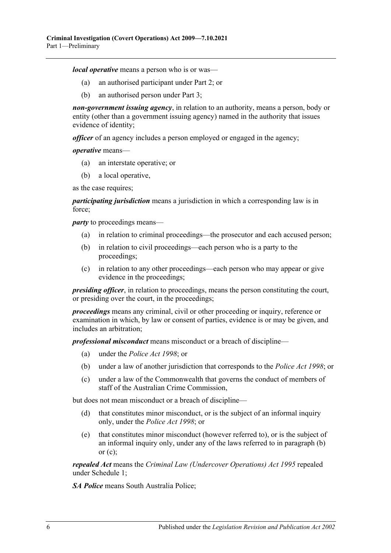*local operative* means a person who is or was—

- (a) an authorised participant under [Part 2;](#page-6-0) or
- (b) an authorised person under [Part 3;](#page-8-1)

*non-government issuing agency*, in relation to an authority, means a person, body or entity (other than a government issuing agency) named in the authority that issues evidence of identity;

*officer* of an agency includes a person employed or engaged in the agency;

*operative* means—

- (a) an interstate operative; or
- (b) a local operative,

as the case requires;

*participating jurisdiction* means a jurisdiction in which a corresponding law is in force;

<span id="page-5-0"></span>*party* to proceedings means—

- (a) in relation to criminal proceedings—the prosecutor and each accused person;
- (b) in relation to civil proceedings—each person who is a party to the proceedings;
- <span id="page-5-1"></span>(c) in relation to any other proceedings—each person who may appear or give evidence in the proceedings;

*presiding officer*, in relation to proceedings, means the person constituting the court, or presiding over the court, in the proceedings;

*proceedings* means any criminal, civil or other proceeding or inquiry, reference or examination in which, by law or consent of parties, evidence is or may be given, and includes an arbitration;

*professional misconduct* means misconduct or a breach of discipline—

- (a) under the *[Police Act](http://www.legislation.sa.gov.au/index.aspx?action=legref&type=act&legtitle=Police%20Act%201998) 1998*; or
- (b) under a law of another jurisdiction that corresponds to the *[Police Act](http://www.legislation.sa.gov.au/index.aspx?action=legref&type=act&legtitle=Police%20Act%201998) 1998*; or
- (c) under a law of the Commonwealth that governs the conduct of members of staff of the Australian Crime Commission,

but does not mean misconduct or a breach of discipline—

- (d) that constitutes minor misconduct, or is the subject of an informal inquiry only, under the *[Police Act](http://www.legislation.sa.gov.au/index.aspx?action=legref&type=act&legtitle=Police%20Act%201998) 1998*; or
- (e) that constitutes minor misconduct (however referred to), or is the subject of an informal inquiry only, under any of the laws referred to in [paragraph](#page-5-0) (b) or  $(c)$ :

*repealed Act* means the *[Criminal Law \(Undercover Operations\) Act](http://www.legislation.sa.gov.au/index.aspx?action=legref&type=act&legtitle=Criminal%20Law%20(Undercover%20Operations)%20Act%201995) 1995* repealed under [Schedule 1;](#page-28-1)

*SA Police* means South Australia Police;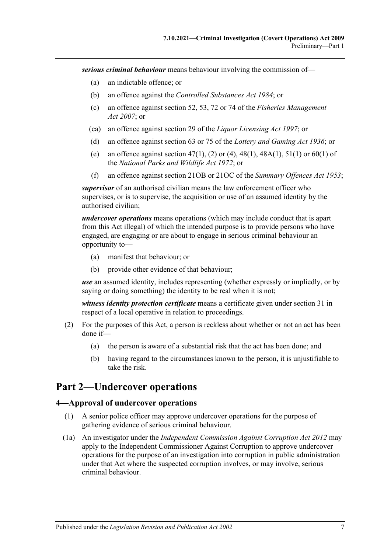*serious criminal behaviour* means behaviour involving the commission of—

- (a) an indictable offence; or
- (b) an offence against the *[Controlled Substances Act](http://www.legislation.sa.gov.au/index.aspx?action=legref&type=act&legtitle=Controlled%20Substances%20Act%201984) 1984*; or
- (c) an offence against section 52, 53, 72 or 74 of the *[Fisheries Management](http://www.legislation.sa.gov.au/index.aspx?action=legref&type=act&legtitle=Fisheries%20Management%20Act%202007)  Act [2007](http://www.legislation.sa.gov.au/index.aspx?action=legref&type=act&legtitle=Fisheries%20Management%20Act%202007)*; or
- (ca) an offence against section 29 of the *[Liquor Licensing Act](http://www.legislation.sa.gov.au/index.aspx?action=legref&type=act&legtitle=Liquor%20Licensing%20Act%201997) 1997*; or
- (d) an offence against section 63 or 75 of the *[Lottery and Gaming Act](http://www.legislation.sa.gov.au/index.aspx?action=legref&type=act&legtitle=Lottery%20and%20Gaming%20Act%201936) 1936*; or
- (e) an offence against section 47(1), (2) or (4), 48(1), 48A(1), 51(1) or 60(1) of the *[National Parks and Wildlife Act](http://www.legislation.sa.gov.au/index.aspx?action=legref&type=act&legtitle=National%20Parks%20and%20Wildlife%20Act%201972) 1972*; or
- (f) an offence against section 21OB or 21OC of the *[Summary Offences Act](http://www.legislation.sa.gov.au/index.aspx?action=legref&type=act&legtitle=Summary%20Offences%20Act%201953) 1953*;

*supervisor* of an authorised civilian means the law enforcement officer who supervises, or is to supervise, the acquisition or use of an assumed identity by the authorised civilian;

*undercover operations* means operations (which may include conduct that is apart from this Act illegal) of which the intended purpose is to provide persons who have engaged, are engaging or are about to engage in serious criminal behaviour an opportunity to—

- (a) manifest that behaviour; or
- (b) provide other evidence of that behaviour;

*use* an assumed identity, includes representing (whether expressly or impliedly, or by saying or doing something) the identity to be real when it is not;

*witness identity protection certificate* means a certificate given under [section](#page-19-1) 31 in respect of a local operative in relation to proceedings.

- (2) For the purposes of this Act, a person is reckless about whether or not an act has been done if—
	- (a) the person is aware of a substantial risk that the act has been done; and
	- (b) having regard to the circumstances known to the person, it is unjustifiable to take the risk.

# <span id="page-6-0"></span>**Part 2—Undercover operations**

#### <span id="page-6-1"></span>**4—Approval of undercover operations**

- (1) A senior police officer may approve undercover operations for the purpose of gathering evidence of serious criminal behaviour.
- (1a) An investigator under the *[Independent Commission Against Corruption Act](http://www.legislation.sa.gov.au/index.aspx?action=legref&type=act&legtitle=Independent%20Commission%20Against%20Corruption%20Act%202012) 2012* may apply to the Independent Commissioner Against Corruption to approve undercover operations for the purpose of an investigation into corruption in public administration under that Act where the suspected corruption involves, or may involve, serious criminal behaviour.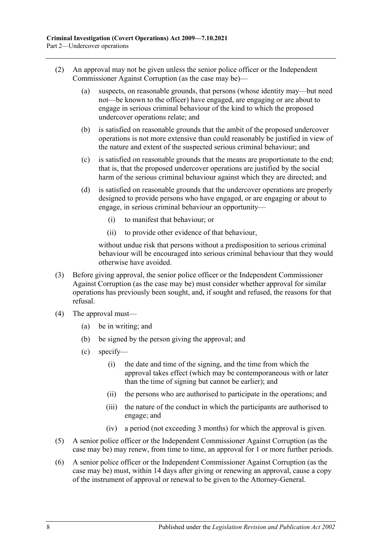- (2) An approval may not be given unless the senior police officer or the Independent Commissioner Against Corruption (as the case may be)—
	- (a) suspects, on reasonable grounds, that persons (whose identity may—but need not—be known to the officer) have engaged, are engaging or are about to engage in serious criminal behaviour of the kind to which the proposed undercover operations relate; and
	- (b) is satisfied on reasonable grounds that the ambit of the proposed undercover operations is not more extensive than could reasonably be justified in view of the nature and extent of the suspected serious criminal behaviour; and
	- (c) is satisfied on reasonable grounds that the means are proportionate to the end; that is, that the proposed undercover operations are justified by the social harm of the serious criminal behaviour against which they are directed; and
	- (d) is satisfied on reasonable grounds that the undercover operations are properly designed to provide persons who have engaged, or are engaging or about to engage, in serious criminal behaviour an opportunity—
		- (i) to manifest that behaviour; or
		- (ii) to provide other evidence of that behaviour,

without undue risk that persons without a predisposition to serious criminal behaviour will be encouraged into serious criminal behaviour that they would otherwise have avoided.

- (3) Before giving approval, the senior police officer or the Independent Commissioner Against Corruption (as the case may be) must consider whether approval for similar operations has previously been sought, and, if sought and refused, the reasons for that refusal.
- (4) The approval must—
	- (a) be in writing; and
	- (b) be signed by the person giving the approval; and
	- (c) specify—
		- (i) the date and time of the signing, and the time from which the approval takes effect (which may be contemporaneous with or later than the time of signing but cannot be earlier); and
		- (ii) the persons who are authorised to participate in the operations; and
		- (iii) the nature of the conduct in which the participants are authorised to engage; and
		- (iv) a period (not exceeding 3 months) for which the approval is given.
- (5) A senior police officer or the Independent Commissioner Against Corruption (as the case may be) may renew, from time to time, an approval for 1 or more further periods.
- (6) A senior police officer or the Independent Commissioner Against Corruption (as the case may be) must, within 14 days after giving or renewing an approval, cause a copy of the instrument of approval or renewal to be given to the Attorney-General.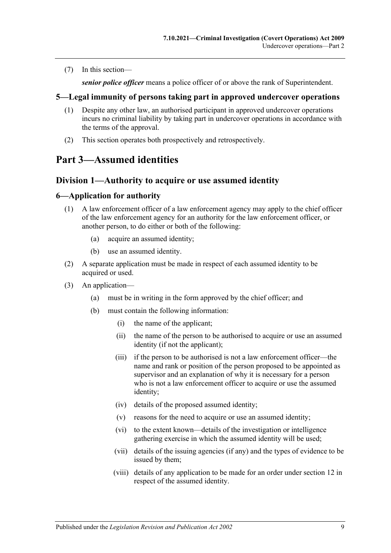(7) In this section—

*senior police officer* means a police officer of or above the rank of Superintendent.

## <span id="page-8-0"></span>**5—Legal immunity of persons taking part in approved undercover operations**

- (1) Despite any other law, an authorised participant in approved undercover operations incurs no criminal liability by taking part in undercover operations in accordance with the terms of the approval.
- (2) This section operates both prospectively and retrospectively.

# <span id="page-8-2"></span><span id="page-8-1"></span>**Part 3—Assumed identities**

## **Division 1—Authority to acquire or use assumed identity**

#### <span id="page-8-3"></span>**6—Application for authority**

- (1) A law enforcement officer of a law enforcement agency may apply to the chief officer of the law enforcement agency for an authority for the law enforcement officer, or another person, to do either or both of the following:
	- (a) acquire an assumed identity;
	- (b) use an assumed identity.
- (2) A separate application must be made in respect of each assumed identity to be acquired or used.
- (3) An application—
	- (a) must be in writing in the form approved by the chief officer; and
	- (b) must contain the following information:
		- (i) the name of the applicant;
		- (ii) the name of the person to be authorised to acquire or use an assumed identity (if not the applicant);
		- (iii) if the person to be authorised is not a law enforcement officer—the name and rank or position of the person proposed to be appointed as supervisor and an explanation of why it is necessary for a person who is not a law enforcement officer to acquire or use the assumed identity;
		- (iv) details of the proposed assumed identity;
		- (v) reasons for the need to acquire or use an assumed identity;
		- (vi) to the extent known—details of the investigation or intelligence gathering exercise in which the assumed identity will be used;
		- (vii) details of the issuing agencies (if any) and the types of evidence to be issued by them;
		- (viii) details of any application to be made for an order under [section](#page-11-1) 12 in respect of the assumed identity.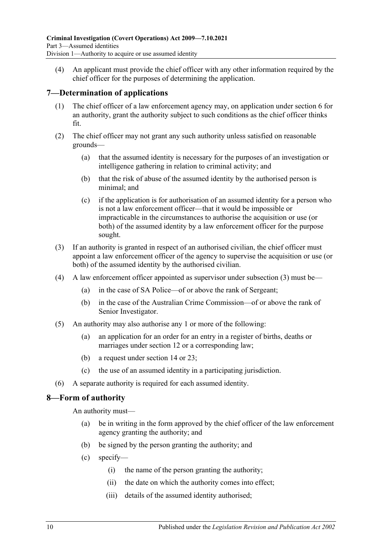(4) An applicant must provide the chief officer with any other information required by the chief officer for the purposes of determining the application.

## <span id="page-9-0"></span>**7—Determination of applications**

- (1) The chief officer of a law enforcement agency may, on application under [section](#page-8-3) 6 for an authority, grant the authority subject to such conditions as the chief officer thinks fit.
- (2) The chief officer may not grant any such authority unless satisfied on reasonable grounds—
	- (a) that the assumed identity is necessary for the purposes of an investigation or intelligence gathering in relation to criminal activity; and
	- (b) that the risk of abuse of the assumed identity by the authorised person is minimal; and
	- (c) if the application is for authorisation of an assumed identity for a person who is not a law enforcement officer—that it would be impossible or impracticable in the circumstances to authorise the acquisition or use (or both) of the assumed identity by a law enforcement officer for the purpose sought.
- <span id="page-9-2"></span>(3) If an authority is granted in respect of an authorised civilian, the chief officer must appoint a law enforcement officer of the agency to supervise the acquisition or use (or both) of the assumed identity by the authorised civilian.
- (4) A law enforcement officer appointed as supervisor under [subsection](#page-9-2) (3) must be—
	- (a) in the case of SA Police—of or above the rank of Sergeant;
	- (b) in the case of the Australian Crime Commission—of or above the rank of Senior Investigator.
- (5) An authority may also authorise any 1 or more of the following:
	- (a) an application for an order for an entry in a register of births, deaths or marriages under [section](#page-11-1) 12 or a corresponding law;
	- (b) a request under [section](#page-12-1) 14 or [23;](#page-14-4)
	- (c) the use of an assumed identity in a participating jurisdiction.
- (6) A separate authority is required for each assumed identity.

## <span id="page-9-1"></span>**8—Form of authority**

An authority must—

- (a) be in writing in the form approved by the chief officer of the law enforcement agency granting the authority; and
- (b) be signed by the person granting the authority; and
- (c) specify—
	- (i) the name of the person granting the authority;
	- (ii) the date on which the authority comes into effect;
	- (iii) details of the assumed identity authorised;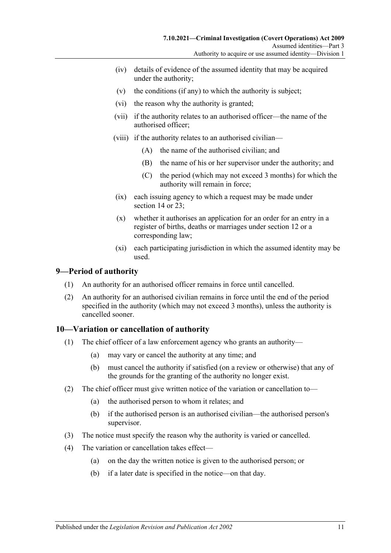- (iv) details of evidence of the assumed identity that may be acquired under the authority;
- (v) the conditions (if any) to which the authority is subject;
- (vi) the reason why the authority is granted;
- (vii) if the authority relates to an authorised officer—the name of the authorised officer;
- (viii) if the authority relates to an authorised civilian—
	- (A) the name of the authorised civilian; and
	- (B) the name of his or her supervisor under the authority; and
	- (C) the period (which may not exceed 3 months) for which the authority will remain in force;
- (ix) each issuing agency to which a request may be made under [section](#page-12-1) 14 or 23:
- (x) whether it authorises an application for an order for an entry in a register of births, deaths or marriages under [section](#page-11-1) 12 or a corresponding law;
- (xi) each participating jurisdiction in which the assumed identity may be used.

## <span id="page-10-0"></span>**9—Period of authority**

- (1) An authority for an authorised officer remains in force until cancelled.
- (2) An authority for an authorised civilian remains in force until the end of the period specified in the authority (which may not exceed 3 months), unless the authority is cancelled sooner.

## <span id="page-10-1"></span>**10—Variation or cancellation of authority**

- (1) The chief officer of a law enforcement agency who grants an authority—
	- (a) may vary or cancel the authority at any time; and
	- (b) must cancel the authority if satisfied (on a review or otherwise) that any of the grounds for the granting of the authority no longer exist.
- (2) The chief officer must give written notice of the variation or cancellation to—
	- (a) the authorised person to whom it relates; and
	- (b) if the authorised person is an authorised civilian—the authorised person's supervisor.
- (3) The notice must specify the reason why the authority is varied or cancelled.
- (4) The variation or cancellation takes effect—
	- (a) on the day the written notice is given to the authorised person; or
	- (b) if a later date is specified in the notice—on that day.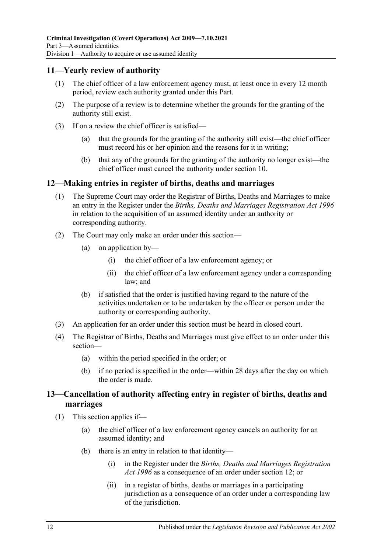## <span id="page-11-0"></span>**11—Yearly review of authority**

- (1) The chief officer of a law enforcement agency must, at least once in every 12 month period, review each authority granted under this Part.
- (2) The purpose of a review is to determine whether the grounds for the granting of the authority still exist.
- (3) If on a review the chief officer is satisfied—
	- (a) that the grounds for the granting of the authority still exist—the chief officer must record his or her opinion and the reasons for it in writing;
	- (b) that any of the grounds for the granting of the authority no longer exist—the chief officer must cancel the authority under [section](#page-10-1) 10.

#### <span id="page-11-1"></span>**12—Making entries in register of births, deaths and marriages**

- (1) The Supreme Court may order the Registrar of Births, Deaths and Marriages to make an entry in the Register under the *[Births, Deaths and Marriages Registration Act](http://www.legislation.sa.gov.au/index.aspx?action=legref&type=act&legtitle=Births%20Deaths%20and%20Marriages%20Registration%20Act%201996) 1996* in relation to the acquisition of an assumed identity under an authority or corresponding authority.
- (2) The Court may only make an order under this section—
	- (a) on application by—
		- (i) the chief officer of a law enforcement agency; or
		- (ii) the chief officer of a law enforcement agency under a corresponding law; and
	- (b) if satisfied that the order is justified having regard to the nature of the activities undertaken or to be undertaken by the officer or person under the authority or corresponding authority.
- (3) An application for an order under this section must be heard in closed court.
- (4) The Registrar of Births, Deaths and Marriages must give effect to an order under this section—
	- (a) within the period specified in the order; or
	- (b) if no period is specified in the order—within 28 days after the day on which the order is made.

## <span id="page-11-2"></span>**13—Cancellation of authority affecting entry in register of births, deaths and marriages**

- <span id="page-11-4"></span><span id="page-11-3"></span>(1) This section applies if—
	- (a) the chief officer of a law enforcement agency cancels an authority for an assumed identity; and
	- (b) there is an entry in relation to that identity—
		- (i) in the Register under the *[Births, Deaths and Marriages Registration](http://www.legislation.sa.gov.au/index.aspx?action=legref&type=act&legtitle=Births%20Deaths%20and%20Marriages%20Registration%20Act%201996)  Act [1996](http://www.legislation.sa.gov.au/index.aspx?action=legref&type=act&legtitle=Births%20Deaths%20and%20Marriages%20Registration%20Act%201996)* as a consequence of an order under [section](#page-11-1) 12; or
		- (ii) in a register of births, deaths or marriages in a participating jurisdiction as a consequence of an order under a corresponding law of the jurisdiction.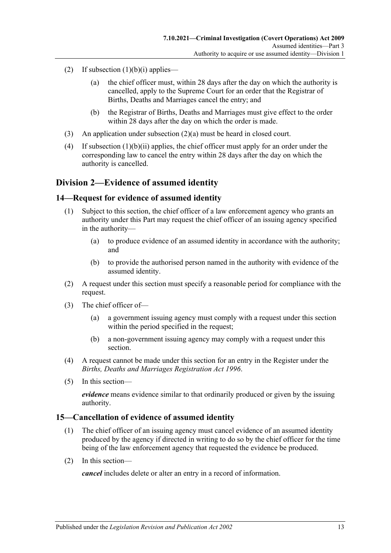- <span id="page-12-3"></span>(2) If [subsection](#page-11-3)  $(1)(b)(i)$  applies—
	- (a) the chief officer must, within 28 days after the day on which the authority is cancelled, apply to the Supreme Court for an order that the Registrar of Births, Deaths and Marriages cancel the entry; and
	- (b) the Registrar of Births, Deaths and Marriages must give effect to the order within 28 days after the day on which the order is made.
- (3) An application under [subsection](#page-12-3) (2)(a) must be heard in closed court.
- (4) If [subsection](#page-11-4) (1)(b)(ii) applies, the chief officer must apply for an order under the corresponding law to cancel the entry within 28 days after the day on which the authority is cancelled.

## <span id="page-12-0"></span>**Division 2—Evidence of assumed identity**

#### <span id="page-12-1"></span>**14—Request for evidence of assumed identity**

- (1) Subject to this section, the chief officer of a law enforcement agency who grants an authority under this Part may request the chief officer of an issuing agency specified in the authority—
	- (a) to produce evidence of an assumed identity in accordance with the authority; and
	- (b) to provide the authorised person named in the authority with evidence of the assumed identity.
- (2) A request under this section must specify a reasonable period for compliance with the request.
- (3) The chief officer of—
	- (a) a government issuing agency must comply with a request under this section within the period specified in the request;
	- (b) a non-government issuing agency may comply with a request under this section.
- (4) A request cannot be made under this section for an entry in the Register under the *[Births, Deaths and Marriages Registration Act](http://www.legislation.sa.gov.au/index.aspx?action=legref&type=act&legtitle=Births%20Deaths%20and%20Marriages%20Registration%20Act%201996) 1996*.
- (5) In this section—

*evidence* means evidence similar to that ordinarily produced or given by the issuing authority.

#### <span id="page-12-2"></span>**15—Cancellation of evidence of assumed identity**

- (1) The chief officer of an issuing agency must cancel evidence of an assumed identity produced by the agency if directed in writing to do so by the chief officer for the time being of the law enforcement agency that requested the evidence be produced.
- (2) In this section—

*cancel* includes delete or alter an entry in a record of information.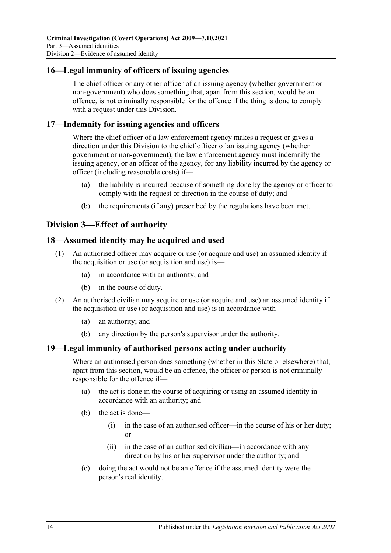## <span id="page-13-0"></span>**16—Legal immunity of officers of issuing agencies**

The chief officer or any other officer of an issuing agency (whether government or non-government) who does something that, apart from this section, would be an offence, is not criminally responsible for the offence if the thing is done to comply with a request under this Division.

#### <span id="page-13-1"></span>**17—Indemnity for issuing agencies and officers**

Where the chief officer of a law enforcement agency makes a request or gives a direction under this Division to the chief officer of an issuing agency (whether government or non-government), the law enforcement agency must indemnify the issuing agency, or an officer of the agency, for any liability incurred by the agency or officer (including reasonable costs) if—

- (a) the liability is incurred because of something done by the agency or officer to comply with the request or direction in the course of duty; and
- (b) the requirements (if any) prescribed by the regulations have been met.

## <span id="page-13-2"></span>**Division 3—Effect of authority**

#### <span id="page-13-3"></span>**18—Assumed identity may be acquired and used**

- (1) An authorised officer may acquire or use (or acquire and use) an assumed identity if the acquisition or use (or acquisition and use) is—
	- (a) in accordance with an authority; and
	- (b) in the course of duty.
- (2) An authorised civilian may acquire or use (or acquire and use) an assumed identity if the acquisition or use (or acquisition and use) is in accordance with—
	- (a) an authority; and
	- (b) any direction by the person's supervisor under the authority.

## <span id="page-13-4"></span>**19—Legal immunity of authorised persons acting under authority**

Where an authorised person does something (whether in this State or elsewhere) that, apart from this section, would be an offence, the officer or person is not criminally responsible for the offence if—

- (a) the act is done in the course of acquiring or using an assumed identity in accordance with an authority; and
- (b) the act is done—
	- (i) in the case of an authorised officer—in the course of his or her duty; or
	- (ii) in the case of an authorised civilian—in accordance with any direction by his or her supervisor under the authority; and
- (c) doing the act would not be an offence if the assumed identity were the person's real identity.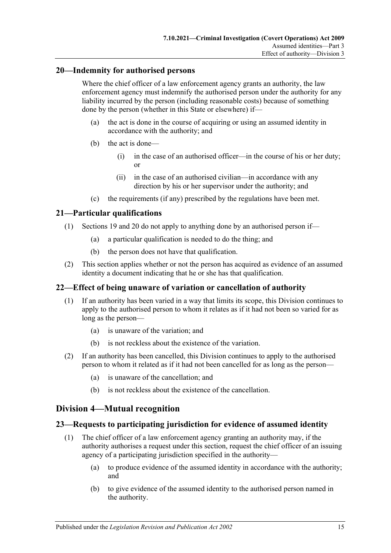## <span id="page-14-0"></span>**20—Indemnity for authorised persons**

Where the chief officer of a law enforcement agency grants an authority, the law enforcement agency must indemnify the authorised person under the authority for any liability incurred by the person (including reasonable costs) because of something done by the person (whether in this State or elsewhere) if—

- (a) the act is done in the course of acquiring or using an assumed identity in accordance with the authority; and
- (b) the act is done—
	- (i) in the case of an authorised officer—in the course of his or her duty; or
	- (ii) in the case of an authorised civilian—in accordance with any direction by his or her supervisor under the authority; and
- (c) the requirements (if any) prescribed by the regulations have been met.

## <span id="page-14-1"></span>**21—Particular qualifications**

- (1) [Sections 19](#page-13-4) and [20](#page-14-0) do not apply to anything done by an authorised person if—
	- (a) a particular qualification is needed to do the thing; and
	- (b) the person does not have that qualification.
- (2) This section applies whether or not the person has acquired as evidence of an assumed identity a document indicating that he or she has that qualification.

## <span id="page-14-2"></span>**22—Effect of being unaware of variation or cancellation of authority**

- (1) If an authority has been varied in a way that limits its scope, this Division continues to apply to the authorised person to whom it relates as if it had not been so varied for as long as the person—
	- (a) is unaware of the variation; and
	- (b) is not reckless about the existence of the variation.
- (2) If an authority has been cancelled, this Division continues to apply to the authorised person to whom it related as if it had not been cancelled for as long as the person—
	- (a) is unaware of the cancellation; and
	- (b) is not reckless about the existence of the cancellation.

# <span id="page-14-3"></span>**Division 4—Mutual recognition**

## <span id="page-14-4"></span>**23—Requests to participating jurisdiction for evidence of assumed identity**

- (1) The chief officer of a law enforcement agency granting an authority may, if the authority authorises a request under this section, request the chief officer of an issuing agency of a participating jurisdiction specified in the authority—
	- (a) to produce evidence of the assumed identity in accordance with the authority; and
	- (b) to give evidence of the assumed identity to the authorised person named in the authority.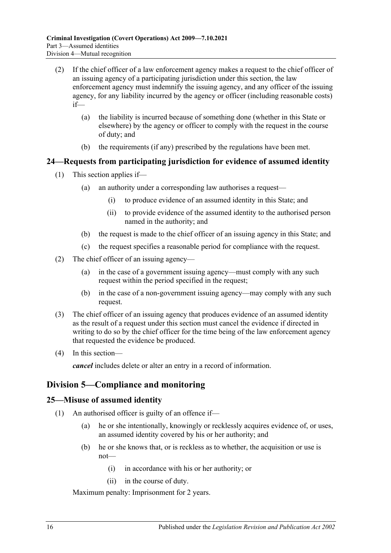- (2) If the chief officer of a law enforcement agency makes a request to the chief officer of an issuing agency of a participating jurisdiction under this section, the law enforcement agency must indemnify the issuing agency, and any officer of the issuing agency, for any liability incurred by the agency or officer (including reasonable costs) if—
	- (a) the liability is incurred because of something done (whether in this State or elsewhere) by the agency or officer to comply with the request in the course of duty; and
	- (b) the requirements (if any) prescribed by the regulations have been met.

## <span id="page-15-0"></span>**24—Requests from participating jurisdiction for evidence of assumed identity**

- (1) This section applies if—
	- (a) an authority under a corresponding law authorises a request—
		- (i) to produce evidence of an assumed identity in this State; and
		- (ii) to provide evidence of the assumed identity to the authorised person named in the authority; and
	- (b) the request is made to the chief officer of an issuing agency in this State; and
	- (c) the request specifies a reasonable period for compliance with the request.
- (2) The chief officer of an issuing agency—
	- (a) in the case of a government issuing agency—must comply with any such request within the period specified in the request;
	- (b) in the case of a non-government issuing agency—may comply with any such request.
- (3) The chief officer of an issuing agency that produces evidence of an assumed identity as the result of a request under this section must cancel the evidence if directed in writing to do so by the chief officer for the time being of the law enforcement agency that requested the evidence be produced.
- (4) In this section—

*cancel* includes delete or alter an entry in a record of information.

## <span id="page-15-1"></span>**Division 5—Compliance and monitoring**

#### <span id="page-15-2"></span>**25—Misuse of assumed identity**

- (1) An authorised officer is guilty of an offence if—
	- (a) he or she intentionally, knowingly or recklessly acquires evidence of, or uses, an assumed identity covered by his or her authority; and
	- (b) he or she knows that, or is reckless as to whether, the acquisition or use is not—
		- (i) in accordance with his or her authority; or
		- (ii) in the course of duty.

Maximum penalty: Imprisonment for 2 years.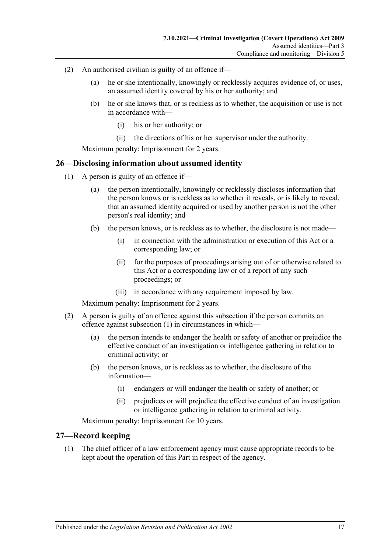- (2) An authorised civilian is guilty of an offence if—
	- (a) he or she intentionally, knowingly or recklessly acquires evidence of, or uses, an assumed identity covered by his or her authority; and
	- (b) he or she knows that, or is reckless as to whether, the acquisition or use is not in accordance with—
		- (i) his or her authority; or
		- (ii) the directions of his or her supervisor under the authority.

Maximum penalty: Imprisonment for 2 years.

#### <span id="page-16-2"></span><span id="page-16-0"></span>**26—Disclosing information about assumed identity**

- (1) A person is guilty of an offence if—
	- (a) the person intentionally, knowingly or recklessly discloses information that the person knows or is reckless as to whether it reveals, or is likely to reveal, that an assumed identity acquired or used by another person is not the other person's real identity; and
	- (b) the person knows, or is reckless as to whether, the disclosure is not made—
		- (i) in connection with the administration or execution of this Act or a corresponding law; or
		- (ii) for the purposes of proceedings arising out of or otherwise related to this Act or a corresponding law or of a report of any such proceedings; or
		- (iii) in accordance with any requirement imposed by law.

Maximum penalty: Imprisonment for 2 years.

- (2) A person is guilty of an offence against this subsection if the person commits an offence against [subsection](#page-16-2) (1) in circumstances in which—
	- (a) the person intends to endanger the health or safety of another or prejudice the effective conduct of an investigation or intelligence gathering in relation to criminal activity; or
	- (b) the person knows, or is reckless as to whether, the disclosure of the information—
		- (i) endangers or will endanger the health or safety of another; or
		- (ii) prejudices or will prejudice the effective conduct of an investigation or intelligence gathering in relation to criminal activity.

Maximum penalty: Imprisonment for 10 years.

#### <span id="page-16-3"></span><span id="page-16-1"></span>**27—Record keeping**

(1) The chief officer of a law enforcement agency must cause appropriate records to be kept about the operation of this Part in respect of the agency.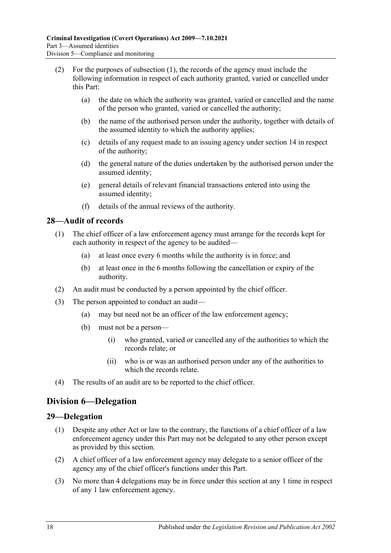- (2) For the purposes of [subsection](#page-16-3) (1), the records of the agency must include the following information in respect of each authority granted, varied or cancelled under this Part:
	- (a) the date on which the authority was granted, varied or cancelled and the name of the person who granted, varied or cancelled the authority;
	- (b) the name of the authorised person under the authority, together with details of the assumed identity to which the authority applies;
	- (c) details of any request made to an issuing agency under [section](#page-12-1) 14 in respect of the authority;
	- (d) the general nature of the duties undertaken by the authorised person under the assumed identity;
	- (e) general details of relevant financial transactions entered into using the assumed identity;
	- (f) details of the annual reviews of the authority.

## <span id="page-17-0"></span>**28—Audit of records**

- (1) The chief officer of a law enforcement agency must arrange for the records kept for each authority in respect of the agency to be audited—
	- (a) at least once every 6 months while the authority is in force; and
	- (b) at least once in the 6 months following the cancellation or expiry of the authority.
- (2) An audit must be conducted by a person appointed by the chief officer.
- (3) The person appointed to conduct an audit—
	- (a) may but need not be an officer of the law enforcement agency;
	- (b) must not be a person—
		- (i) who granted, varied or cancelled any of the authorities to which the records relate; or
		- (ii) who is or was an authorised person under any of the authorities to which the records relate.
- (4) The results of an audit are to be reported to the chief officer.

# <span id="page-17-1"></span>**Division 6—Delegation**

## <span id="page-17-2"></span>**29—Delegation**

- (1) Despite any other Act or law to the contrary, the functions of a chief officer of a law enforcement agency under this Part may not be delegated to any other person except as provided by this section.
- (2) A chief officer of a law enforcement agency may delegate to a senior officer of the agency any of the chief officer's functions under this Part.
- (3) No more than 4 delegations may be in force under this section at any 1 time in respect of any 1 law enforcement agency.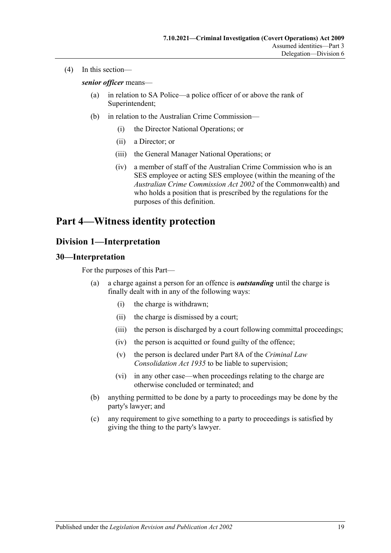(4) In this section—

*senior officer* means—

- (a) in relation to SA Police—a police officer of or above the rank of Superintendent;
- (b) in relation to the Australian Crime Commission—
	- (i) the Director National Operations; or
	- (ii) a Director; or
	- (iii) the General Manager National Operations; or
	- (iv) a member of staff of the Australian Crime Commission who is an SES employee or acting SES employee (within the meaning of the *Australian Crime Commission Act 2002* of the Commonwealth) and who holds a position that is prescribed by the regulations for the purposes of this definition.

# <span id="page-18-0"></span>**Part 4—Witness identity protection**

## <span id="page-18-1"></span>**Division 1—Interpretation**

#### <span id="page-18-2"></span>**30—Interpretation**

For the purposes of this Part—

- (a) a charge against a person for an offence is *outstanding* until the charge is finally dealt with in any of the following ways:
	- (i) the charge is withdrawn;
	- (ii) the charge is dismissed by a court;
	- (iii) the person is discharged by a court following committal proceedings;
	- (iv) the person is acquitted or found guilty of the offence;
	- (v) the person is declared under Part 8A of the *[Criminal Law](http://www.legislation.sa.gov.au/index.aspx?action=legref&type=act&legtitle=Criminal%20Law%20Consolidation%20Act%201935)  [Consolidation Act](http://www.legislation.sa.gov.au/index.aspx?action=legref&type=act&legtitle=Criminal%20Law%20Consolidation%20Act%201935) 1935* to be liable to supervision;
	- (vi) in any other case—when proceedings relating to the charge are otherwise concluded or terminated; and
- (b) anything permitted to be done by a party to proceedings may be done by the party's lawyer; and
- (c) any requirement to give something to a party to proceedings is satisfied by giving the thing to the party's lawyer.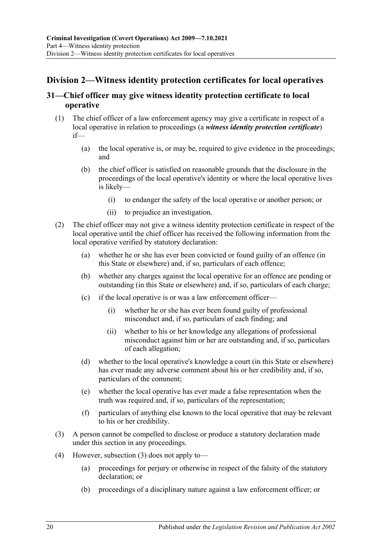# <span id="page-19-0"></span>**Division 2—Witness identity protection certificates for local operatives**

## <span id="page-19-1"></span>**31—Chief officer may give witness identity protection certificate to local operative**

- <span id="page-19-3"></span>(1) The chief officer of a law enforcement agency may give a certificate in respect of a local operative in relation to proceedings (a *witness identity protection certificate*) if—
	- (a) the local operative is, or may be, required to give evidence in the proceedings; and
	- (b) the chief officer is satisfied on reasonable grounds that the disclosure in the proceedings of the local operative's identity or where the local operative lives is likely—
		- (i) to endanger the safety of the local operative or another person; or
		- (ii) to prejudice an investigation.
- (2) The chief officer may not give a witness identity protection certificate in respect of the local operative until the chief officer has received the following information from the local operative verified by statutory declaration:
	- (a) whether he or she has ever been convicted or found guilty of an offence (in this State or elsewhere) and, if so, particulars of each offence;
	- (b) whether any charges against the local operative for an offence are pending or outstanding (in this State or elsewhere) and, if so, particulars of each charge;
	- (c) if the local operative is or was a law enforcement officer—
		- (i) whether he or she has ever been found guilty of professional misconduct and, if so, particulars of each finding; and
		- (ii) whether to his or her knowledge any allegations of professional misconduct against him or her are outstanding and, if so, particulars of each allegation;
	- (d) whether to the local operative's knowledge a court (in this State or elsewhere) has ever made any adverse comment about his or her credibility and, if so, particulars of the comment;
	- (e) whether the local operative has ever made a false representation when the truth was required and, if so, particulars of the representation;
	- (f) particulars of anything else known to the local operative that may be relevant to his or her credibility.
- <span id="page-19-2"></span>(3) A person cannot be compelled to disclose or produce a statutory declaration made under this section in any proceedings.
- (4) However, [subsection \(3\)](#page-19-2) does not apply to—
	- (a) proceedings for perjury or otherwise in respect of the falsity of the statutory declaration; or
	- (b) proceedings of a disciplinary nature against a law enforcement officer; or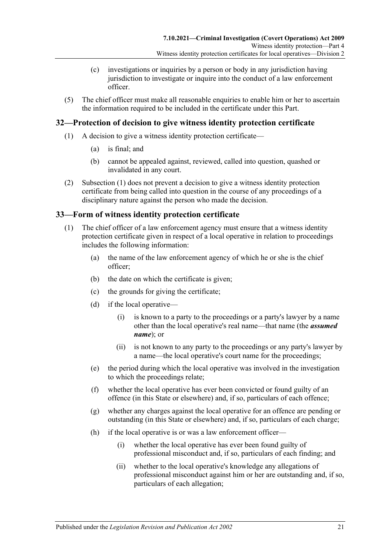- (c) investigations or inquiries by a person or body in any jurisdiction having jurisdiction to investigate or inquire into the conduct of a law enforcement officer.
- (5) The chief officer must make all reasonable enquiries to enable him or her to ascertain the information required to be included in the certificate under this Part.

## <span id="page-20-3"></span><span id="page-20-0"></span>**32—Protection of decision to give witness identity protection certificate**

- (1) A decision to give a witness identity protection certificate—
	- (a) is final; and
	- (b) cannot be appealed against, reviewed, called into question, quashed or invalidated in any court.
- (2) [Subsection \(1\)](#page-20-3) does not prevent a decision to give a witness identity protection certificate from being called into question in the course of any proceedings of a disciplinary nature against the person who made the decision.

## <span id="page-20-1"></span>**33—Form of witness identity protection certificate**

- <span id="page-20-2"></span>(1) The chief officer of a law enforcement agency must ensure that a witness identity protection certificate given in respect of a local operative in relation to proceedings includes the following information:
	- (a) the name of the law enforcement agency of which he or she is the chief officer;
	- (b) the date on which the certificate is given;
	- (c) the grounds for giving the certificate;
	- (d) if the local operative—
		- (i) is known to a party to the proceedings or a party's lawyer by a name other than the local operative's real name—that name (the *assumed name*); or
		- (ii) is not known to any party to the proceedings or any party's lawyer by a name—the local operative's court name for the proceedings;
	- (e) the period during which the local operative was involved in the investigation to which the proceedings relate;
	- (f) whether the local operative has ever been convicted or found guilty of an offence (in this State or elsewhere) and, if so, particulars of each offence;
	- (g) whether any charges against the local operative for an offence are pending or outstanding (in this State or elsewhere) and, if so, particulars of each charge;
	- (h) if the local operative is or was a law enforcement officer—
		- (i) whether the local operative has ever been found guilty of professional misconduct and, if so, particulars of each finding; and
		- (ii) whether to the local operative's knowledge any allegations of professional misconduct against him or her are outstanding and, if so, particulars of each allegation;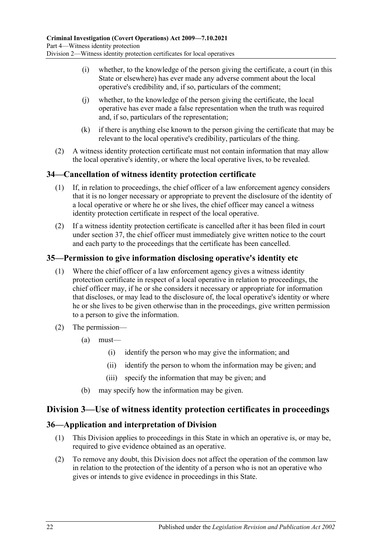- (i) whether, to the knowledge of the person giving the certificate, a court (in this State or elsewhere) has ever made any adverse comment about the local operative's credibility and, if so, particulars of the comment;
- (j) whether, to the knowledge of the person giving the certificate, the local operative has ever made a false representation when the truth was required and, if so, particulars of the representation;
- (k) if there is anything else known to the person giving the certificate that may be relevant to the local operative's credibility, particulars of the thing.
- (2) A witness identity protection certificate must not contain information that may allow the local operative's identity, or where the local operative lives, to be revealed.

## <span id="page-21-0"></span>**34—Cancellation of witness identity protection certificate**

- (1) If, in relation to proceedings, the chief officer of a law enforcement agency considers that it is no longer necessary or appropriate to prevent the disclosure of the identity of a local operative or where he or she lives, the chief officer may cancel a witness identity protection certificate in respect of the local operative.
- (2) If a witness identity protection certificate is cancelled after it has been filed in court under [section](#page-22-0) 37, the chief officer must immediately give written notice to the court and each party to the proceedings that the certificate has been cancelled.

## <span id="page-21-1"></span>**35—Permission to give information disclosing operative's identity etc**

- (1) Where the chief officer of a law enforcement agency gives a witness identity protection certificate in respect of a local operative in relation to proceedings, the chief officer may, if he or she considers it necessary or appropriate for information that discloses, or may lead to the disclosure of, the local operative's identity or where he or she lives to be given otherwise than in the proceedings, give written permission to a person to give the information.
- (2) The permission—
	- (a) must—
		- (i) identify the person who may give the information; and
		- (ii) identify the person to whom the information may be given; and
		- (iii) specify the information that may be given; and
	- (b) may specify how the information may be given.

## <span id="page-21-2"></span>**Division 3—Use of witness identity protection certificates in proceedings**

## <span id="page-21-3"></span>**36—Application and interpretation of Division**

- (1) This Division applies to proceedings in this State in which an operative is, or may be, required to give evidence obtained as an operative.
- (2) To remove any doubt, this Division does not affect the operation of the common law in relation to the protection of the identity of a person who is not an operative who gives or intends to give evidence in proceedings in this State.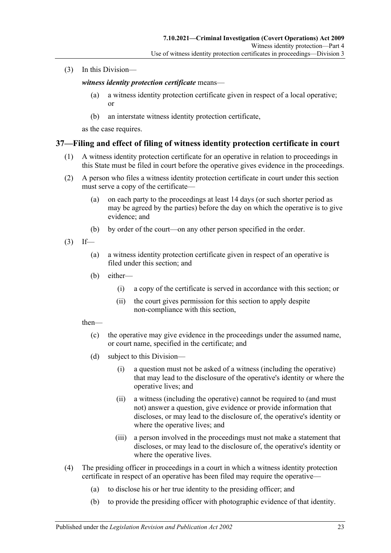(3) In this Division—

*witness identity protection certificate* means—

- (a) a witness identity protection certificate given in respect of a local operative; or
- (b) an interstate witness identity protection certificate,

as the case requires.

## <span id="page-22-0"></span>**37—Filing and effect of filing of witness identity protection certificate in court**

- (1) A witness identity protection certificate for an operative in relation to proceedings in this State must be filed in court before the operative gives evidence in the proceedings.
- (2) A person who files a witness identity protection certificate in court under this section must serve a copy of the certificate—
	- (a) on each party to the proceedings at least 14 days (or such shorter period as may be agreed by the parties) before the day on which the operative is to give evidence; and
	- (b) by order of the court—on any other person specified in the order.
- $(3)$  If—
	- (a) a witness identity protection certificate given in respect of an operative is filed under this section; and
	- (b) either—
		- (i) a copy of the certificate is served in accordance with this section; or
		- (ii) the court gives permission for this section to apply despite non-compliance with this section,

then—

- (c) the operative may give evidence in the proceedings under the assumed name, or court name, specified in the certificate; and
- (d) subject to this Division—
	- (i) a question must not be asked of a witness (including the operative) that may lead to the disclosure of the operative's identity or where the operative lives; and
	- (ii) a witness (including the operative) cannot be required to (and must not) answer a question, give evidence or provide information that discloses, or may lead to the disclosure of, the operative's identity or where the operative lives; and
	- (iii) a person involved in the proceedings must not make a statement that discloses, or may lead to the disclosure of, the operative's identity or where the operative lives.
- (4) The presiding officer in proceedings in a court in which a witness identity protection certificate in respect of an operative has been filed may require the operative—
	- (a) to disclose his or her true identity to the presiding officer; and
	- (b) to provide the presiding officer with photographic evidence of that identity.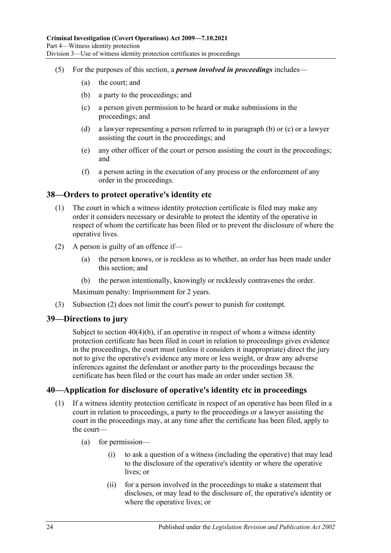- <span id="page-23-4"></span><span id="page-23-3"></span>(5) For the purposes of this section, a *person involved in proceedings* includes—
	- (a) the court; and
	- (b) a party to the proceedings; and
	- (c) a person given permission to be heard or make submissions in the proceedings; and
	- (d) a lawyer representing a person referred to in [paragraph](#page-23-3) (b) or [\(c\)](#page-23-4) or a lawyer assisting the court in the proceedings; and
	- (e) any other officer of the court or person assisting the court in the proceedings; and
	- (f) a person acting in the execution of any process or the enforcement of any order in the proceedings.

#### <span id="page-23-0"></span>**38—Orders to protect operative's identity etc**

- (1) The court in which a witness identity protection certificate is filed may make any order it considers necessary or desirable to protect the identity of the operative in respect of whom the certificate has been filed or to prevent the disclosure of where the operative lives.
- <span id="page-23-5"></span>(2) A person is guilty of an offence if—
	- (a) the person knows, or is reckless as to whether, an order has been made under this section; and
	- (b) the person intentionally, knowingly or recklessly contravenes the order.

Maximum penalty: Imprisonment for 2 years.

(3) [Subsection \(2\)](#page-23-5) does not limit the court's power to punish for contempt.

#### <span id="page-23-1"></span>**39—Directions to jury**

Subject to section [40\(4\)\(b\),](#page-24-0) if an operative in respect of whom a witness identity protection certificate has been filed in court in relation to proceedings gives evidence in the proceedings, the court must (unless it considers it inappropriate) direct the jury not to give the operative's evidence any more or less weight, or draw any adverse inferences against the defendant or another party to the proceedings because the certificate has been filed or the court has made an order under [section](#page-23-0) 38.

## <span id="page-23-2"></span>**40—Application for disclosure of operative's identity etc in proceedings**

- (1) If a witness identity protection certificate in respect of an operative has been filed in a court in relation to proceedings, a party to the proceedings or a lawyer assisting the court in the proceedings may, at any time after the certificate has been filed, apply to the court—
	- (a) for permission—
		- (i) to ask a question of a witness (including the operative) that may lead to the disclosure of the operative's identity or where the operative lives; or
		- (ii) for a person involved in the proceedings to make a statement that discloses, or may lead to the disclosure of, the operative's identity or where the operative lives; or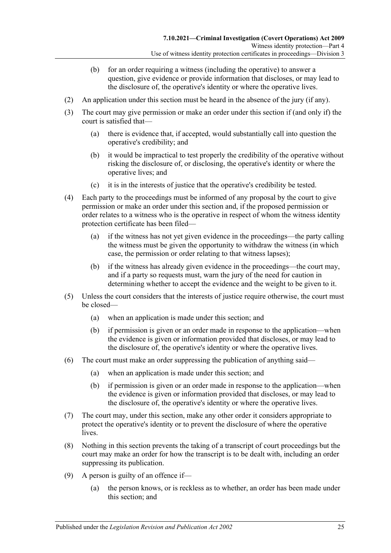- (b) for an order requiring a witness (including the operative) to answer a question, give evidence or provide information that discloses, or may lead to the disclosure of, the operative's identity or where the operative lives.
- (2) An application under this section must be heard in the absence of the jury (if any).
- (3) The court may give permission or make an order under this section if (and only if) the court is satisfied that—
	- (a) there is evidence that, if accepted, would substantially call into question the operative's credibility; and
	- (b) it would be impractical to test properly the credibility of the operative without risking the disclosure of, or disclosing, the operative's identity or where the operative lives; and
	- (c) it is in the interests of justice that the operative's credibility be tested.
- (4) Each party to the proceedings must be informed of any proposal by the court to give permission or make an order under this section and, if the proposed permission or order relates to a witness who is the operative in respect of whom the witness identity protection certificate has been filed—
	- (a) if the witness has not yet given evidence in the proceedings—the party calling the witness must be given the opportunity to withdraw the witness (in which case, the permission or order relating to that witness lapses);
	- (b) if the witness has already given evidence in the proceedings—the court may, and if a party so requests must, warn the jury of the need for caution in determining whether to accept the evidence and the weight to be given to it.
- <span id="page-24-0"></span>(5) Unless the court considers that the interests of justice require otherwise, the court must be closed—
	- (a) when an application is made under this section; and
	- (b) if permission is given or an order made in response to the application—when the evidence is given or information provided that discloses, or may lead to the disclosure of, the operative's identity or where the operative lives.
- (6) The court must make an order suppressing the publication of anything said—
	- (a) when an application is made under this section; and
	- (b) if permission is given or an order made in response to the application—when the evidence is given or information provided that discloses, or may lead to the disclosure of, the operative's identity or where the operative lives.
- (7) The court may, under this section, make any other order it considers appropriate to protect the operative's identity or to prevent the disclosure of where the operative lives.
- (8) Nothing in this section prevents the taking of a transcript of court proceedings but the court may make an order for how the transcript is to be dealt with, including an order suppressing its publication.
- <span id="page-24-1"></span>(9) A person is guilty of an offence if—
	- (a) the person knows, or is reckless as to whether, an order has been made under this section; and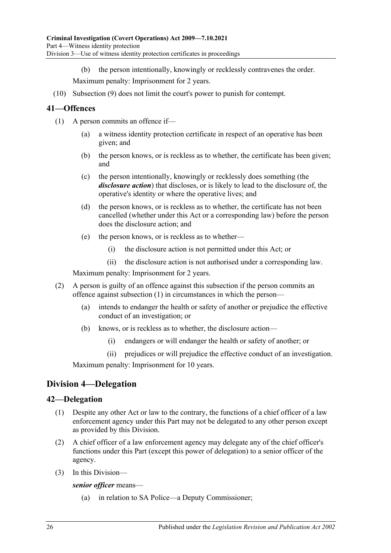(b) the person intentionally, knowingly or recklessly contravenes the order.

Maximum penalty: Imprisonment for 2 years.

(10) [Subsection \(9\)](#page-24-1) does not limit the court's power to punish for contempt.

## <span id="page-25-3"></span><span id="page-25-0"></span>**41—Offences**

- (1) A person commits an offence if—
	- (a) a witness identity protection certificate in respect of an operative has been given; and
	- (b) the person knows, or is reckless as to whether, the certificate has been given; and
	- (c) the person intentionally, knowingly or recklessly does something (the *disclosure action*) that discloses, or is likely to lead to the disclosure of, the operative's identity or where the operative lives; and
	- (d) the person knows, or is reckless as to whether, the certificate has not been cancelled (whether under this Act or a corresponding law) before the person does the disclosure action; and
	- (e) the person knows, or is reckless as to whether—
		- (i) the disclosure action is not permitted under this Act; or
		- (ii) the disclosure action is not authorised under a corresponding law.

Maximum penalty: Imprisonment for 2 years.

- (2) A person is guilty of an offence against this subsection if the person commits an offence against [subsection](#page-25-3) (1) in circumstances in which the person—
	- (a) intends to endanger the health or safety of another or prejudice the effective conduct of an investigation; or
	- (b) knows, or is reckless as to whether, the disclosure action—
		- (i) endangers or will endanger the health or safety of another; or
		- (ii) prejudices or will prejudice the effective conduct of an investigation.

Maximum penalty: Imprisonment for 10 years.

# <span id="page-25-1"></span>**Division 4—Delegation**

## <span id="page-25-2"></span>**42—Delegation**

- (1) Despite any other Act or law to the contrary, the functions of a chief officer of a law enforcement agency under this Part may not be delegated to any other person except as provided by this Division.
- (2) A chief officer of a law enforcement agency may delegate any of the chief officer's functions under this Part (except this power of delegation) to a senior officer of the agency.
- (3) In this Division—

*senior officer* means—

(a) in relation to SA Police—a Deputy Commissioner;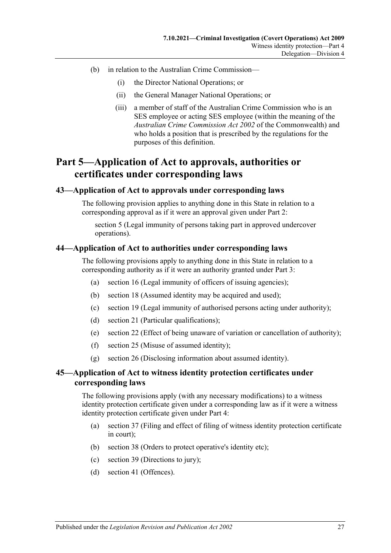- (b) in relation to the Australian Crime Commission—
	- (i) the Director National Operations; or
	- (ii) the General Manager National Operations; or
	- (iii) a member of staff of the Australian Crime Commission who is an SES employee or acting SES employee (within the meaning of the *Australian Crime Commission Act 2002* of the Commonwealth) and who holds a position that is prescribed by the regulations for the purposes of this definition.

# <span id="page-26-0"></span>**Part 5—Application of Act to approvals, authorities or certificates under corresponding laws**

#### <span id="page-26-1"></span>**43—Application of Act to approvals under corresponding laws**

The following provision applies to anything done in this State in relation to a corresponding approval as if it were an approval given under [Part 2:](#page-6-0)

[section](#page-8-0) 5 (Legal immunity of persons taking part in approved undercover operations).

#### <span id="page-26-2"></span>**44—Application of Act to authorities under corresponding laws**

The following provisions apply to anything done in this State in relation to a corresponding authority as if it were an authority granted under [Part 3:](#page-8-1)

- (a) [section](#page-13-0) 16 (Legal immunity of officers of issuing agencies);
- (b) [section](#page-13-3) 18 (Assumed identity may be acquired and used);
- (c) [section](#page-13-4) 19 (Legal immunity of authorised persons acting under authority);
- (d) [section](#page-14-1) 21 (Particular qualifications);
- (e) [section](#page-14-2) 22 (Effect of being unaware of variation or cancellation of authority);
- (f) [section](#page-15-2) 25 (Misuse of assumed identity);
- (g) [section](#page-16-0) 26 (Disclosing information about assumed identity).

## <span id="page-26-3"></span>**45—Application of Act to witness identity protection certificates under corresponding laws**

The following provisions apply (with any necessary modifications) to a witness identity protection certificate given under a corresponding law as if it were a witness identity protection certificate given under [Part 4:](#page-18-0)

- (a) [section](#page-22-0) 37 (Filing and effect of filing of witness identity protection certificate in court);
- (b) [section](#page-23-0) 38 (Orders to protect operative's identity etc);
- (c) [section](#page-23-1) 39 (Directions to jury);
- (d) [section](#page-25-0) 41 (Offences).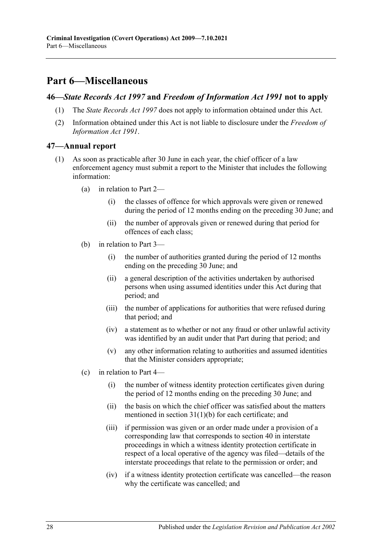# <span id="page-27-0"></span>**Part 6—Miscellaneous**

#### <span id="page-27-1"></span>**46—***State Records Act 1997* **and** *Freedom of Information Act 1991* **not to apply**

- (1) The *[State Records Act](http://www.legislation.sa.gov.au/index.aspx?action=legref&type=act&legtitle=State%20Records%20Act%201997) 1997* does not apply to information obtained under this Act.
- (2) Information obtained under this Act is not liable to disclosure under the *[Freedom of](http://www.legislation.sa.gov.au/index.aspx?action=legref&type=act&legtitle=Freedom%20of%20Information%20Act%201991)  [Information Act](http://www.legislation.sa.gov.au/index.aspx?action=legref&type=act&legtitle=Freedom%20of%20Information%20Act%201991) 1991*.

#### <span id="page-27-2"></span>**47—Annual report**

- (1) As soon as practicable after 30 June in each year, the chief officer of a law enforcement agency must submit a report to the Minister that includes the following information:
	- (a) in relation to [Part 2—](#page-6-0)
		- (i) the classes of offence for which approvals were given or renewed during the period of 12 months ending on the preceding 30 June; and
		- (ii) the number of approvals given or renewed during that period for offences of each class;
	- (b) in relation to [Part 3—](#page-8-1)
		- (i) the number of authorities granted during the period of 12 months ending on the preceding 30 June; and
		- (ii) a general description of the activities undertaken by authorised persons when using assumed identities under this Act during that period; and
		- (iii) the number of applications for authorities that were refused during that period; and
		- (iv) a statement as to whether or not any fraud or other unlawful activity was identified by an audit under that Part during that period; and
		- (v) any other information relating to authorities and assumed identities that the Minister considers appropriate;
	- (c) in relation to [Part 4—](#page-18-0)
		- (i) the number of witness identity protection certificates given during the period of 12 months ending on the preceding 30 June; and
		- (ii) the basis on which the chief officer was satisfied about the matters mentioned in section [31\(1\)\(b\)](#page-19-3) for each certificate; and
		- (iii) if permission was given or an order made under a provision of a corresponding law that corresponds to [section](#page-23-2) 40 in interstate proceedings in which a witness identity protection certificate in respect of a local operative of the agency was filed—details of the interstate proceedings that relate to the permission or order; and
		- (iv) if a witness identity protection certificate was cancelled—the reason why the certificate was cancelled; and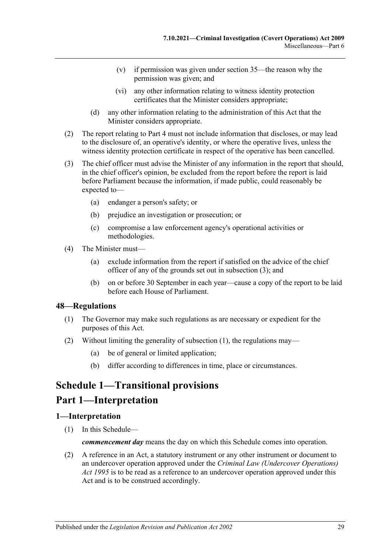- (v) if permission was given under [section](#page-21-1) 35—the reason why the permission was given; and
- (vi) any other information relating to witness identity protection certificates that the Minister considers appropriate;
- (d) any other information relating to the administration of this Act that the Minister considers appropriate.
- (2) The report relating to [Part 4](#page-18-0) must not include information that discloses, or may lead to the disclosure of, an operative's identity, or where the operative lives, unless the witness identity protection certificate in respect of the operative has been cancelled.
- <span id="page-28-3"></span>(3) The chief officer must advise the Minister of any information in the report that should, in the chief officer's opinion, be excluded from the report before the report is laid before Parliament because the information, if made public, could reasonably be expected to—
	- (a) endanger a person's safety; or
	- (b) prejudice an investigation or prosecution; or
	- (c) compromise a law enforcement agency's operational activities or methodologies.
- (4) The Minister must—
	- (a) exclude information from the report if satisfied on the advice of the chief officer of any of the grounds set out in [subsection](#page-28-3) (3); and
	- (b) on or before 30 September in each year—cause a copy of the report to be laid before each House of Parliament.

#### <span id="page-28-4"></span><span id="page-28-0"></span>**48—Regulations**

- (1) The Governor may make such regulations as are necessary or expedient for the purposes of this Act.
- (2) Without limiting the generality of [subsection](#page-28-4) (1), the regulations may—
	- (a) be of general or limited application;
	- (b) differ according to differences in time, place or circumstances.

# <span id="page-28-1"></span>**Schedule 1—Transitional provisions**

# **Part 1—Interpretation**

#### <span id="page-28-2"></span>**1—Interpretation**

(1) In this Schedule—

*commencement day* means the day on which this Schedule comes into operation.

(2) A reference in an Act, a statutory instrument or any other instrument or document to an undercover operation approved under the *[Criminal Law \(Undercover Operations\)](http://www.legislation.sa.gov.au/index.aspx?action=legref&type=act&legtitle=Criminal%20Law%20(Undercover%20Operations)%20Act%201995)  Act [1995](http://www.legislation.sa.gov.au/index.aspx?action=legref&type=act&legtitle=Criminal%20Law%20(Undercover%20Operations)%20Act%201995)* is to be read as a reference to an undercover operation approved under this Act and is to be construed accordingly.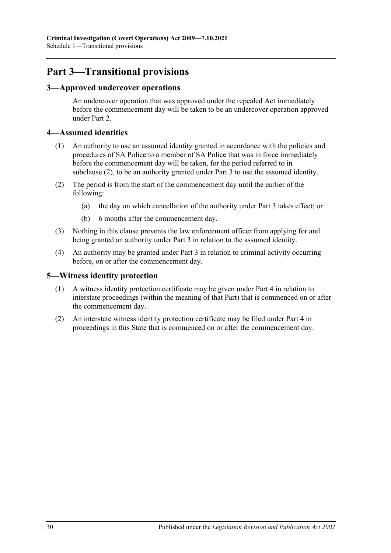# **Part 3—Transitional provisions**

## <span id="page-29-0"></span>**3—Approved undercover operations**

An undercover operation that was approved under the repealed Act immediately before the commencement day will be taken to be an undercover operation approved under [Part 2.](#page-6-0)

## <span id="page-29-1"></span>**4—Assumed identities**

- (1) An authority to use an assumed identity granted in accordance with the policies and procedures of SA Police to a member of SA Police that was in force immediately before the commencement day will be taken, for the period referred to in [subclause](#page-29-3) (2), to be an authority granted under [Part 3](#page-8-1) to use the assumed identity.
- <span id="page-29-3"></span>(2) The period is from the start of the commencement day until the earlier of the following:
	- (a) the day on which cancellation of the authority under [Part 3](#page-8-1) takes effect; or
	- (b) 6 months after the commencement day.
- (3) Nothing in this clause prevents the law enforcement officer from applying for and being granted an authority under [Part 3](#page-8-1) in relation to the assumed identity.
- (4) An authority may be granted under [Part 3](#page-8-1) in relation to criminal activity occurring before, on or after the commencement day.

## <span id="page-29-2"></span>**5—Witness identity protection**

- (1) A witness identity protection certificate may be given under [Part 4](#page-18-0) in relation to interstate proceedings (within the meaning of that Part) that is commenced on or after the commencement day.
- (2) An interstate witness identity protection certificate may be filed under [Part 4](#page-18-0) in proceedings in this State that is commenced on or after the commencement day.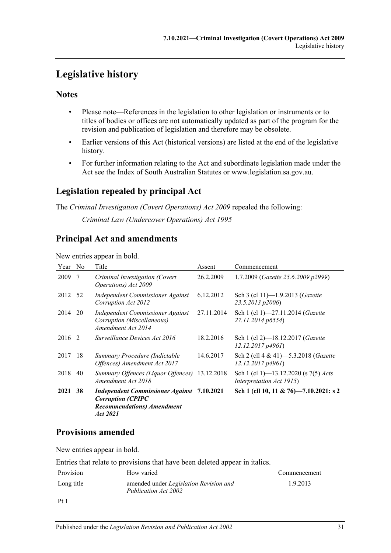# <span id="page-30-0"></span>**Legislative history**

## **Notes**

- Please note—References in the legislation to other legislation or instruments or to titles of bodies or offices are not automatically updated as part of the program for the revision and publication of legislation and therefore may be obsolete.
- Earlier versions of this Act (historical versions) are listed at the end of the legislative history.
- For further information relating to the Act and subordinate legislation made under the Act see the Index of South Australian Statutes or www.legislation.sa.gov.au.

# **Legislation repealed by principal Act**

The *Criminal Investigation (Covert Operations) Act 2009* repealed the following: *Criminal Law (Undercover Operations) Act 1995*

# **Principal Act and amendments**

#### New entries appear in bold.

| Year No |     | Title                                                                                                                           | Assent     | Commencement                                                            |
|---------|-----|---------------------------------------------------------------------------------------------------------------------------------|------------|-------------------------------------------------------------------------|
| 2009    | -7  | Criminal Investigation (Covert<br>Operations) Act 2009                                                                          | 26.2.2009  | 1.7.2009 (Gazette 25.6.2009 p2999)                                      |
| 2012 52 |     | Independent Commissioner Against<br>Corruption Act 2012                                                                         | 6.12.2012  | Sch 3 (cl 11)-1.9.2013 ( <i>Gazette</i><br>23.5.2013 p2006)             |
| 2014    | 20  | Independent Commissioner Against<br>Corruption (Miscellaneous)<br>Amendment Act 2014                                            | 27.11.2014 | Sch 1 (cl 1)-27.11.2014 (Gazette<br>27.11.2014 p6554)                   |
| 2016 2  |     | Surveillance Devices Act 2016                                                                                                   | 18.2.2016  | Sch 1 (cl 2)-18.12.2017 (Gazette<br>12.12.2017p4961                     |
| 2017    | -18 | Summary Procedure (Indictable<br>Offences) Amendment Act 2017                                                                   | 14.6.2017  | Sch 2 (cll 4 & 41)–5.3.2018 ( <i>Gazette</i><br>12.12.2017p4961         |
| 2018    | 40  | Summary Offences (Liquor Offences)<br>Amendment Act 2018                                                                        | 13.12.2018 | Sch 1 (cl 1)—13.12.2020 (s 7(5) <i>Acts</i><br>Interpretation Act 1915) |
| 2021 38 |     | <b>Independent Commissioner Against 7.10.2021</b><br><b>Corruption (CPIPC</b><br><b>Recommendations</b> ) Amendment<br>Act 2021 |            | Sch 1 (cll 10, 11 & 76)-7.10.2021: s 2                                  |

# **Provisions amended**

New entries appear in bold.

Entries that relate to provisions that have been deleted appear in italics.

| Provision      | How varied                                                            | Commencement |
|----------------|-----------------------------------------------------------------------|--------------|
| Long title     | amended under <i>Legislation Revision and</i><br>Publication Act 2002 | 1.9.2013     |
| P <sub>f</sub> |                                                                       |              |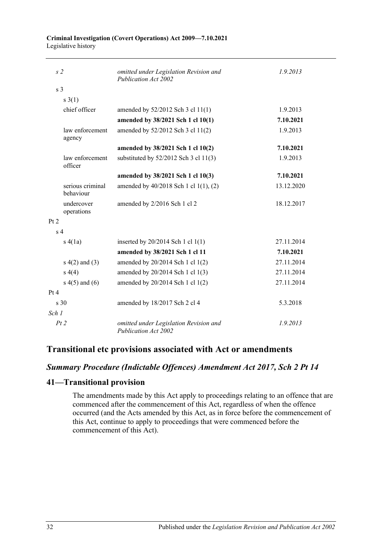#### **Criminal Investigation (Covert Operations) Act 2009—7.10.2021** Legislative history

| s <sub>2</sub>  |                               | omitted under Legislation Revision and<br>Publication Act 2002        | 1.9.2013   |
|-----------------|-------------------------------|-----------------------------------------------------------------------|------------|
| s <sub>3</sub>  |                               |                                                                       |            |
|                 | $s \; 3(1)$                   |                                                                       |            |
|                 | chief officer                 | amended by 52/2012 Sch 3 cl 11(1)                                     | 1.9.2013   |
|                 |                               | amended by 38/2021 Sch 1 cl 10(1)                                     | 7.10.2021  |
|                 | law enforcement<br>agency     | amended by 52/2012 Sch 3 cl 11(2)                                     | 1.9.2013   |
|                 |                               | amended by 38/2021 Sch 1 cl 10(2)                                     | 7.10.2021  |
|                 | law enforcement<br>officer    | substituted by $52/2012$ Sch 3 cl 11(3)                               | 1.9.2013   |
|                 |                               | amended by 38/2021 Sch 1 cl 10(3)                                     | 7.10.2021  |
|                 | serious criminal<br>behaviour | amended by 40/2018 Sch 1 cl 1(1), (2)                                 | 13.12.2020 |
|                 | undercover<br>operations      | amended by 2/2016 Sch 1 cl 2                                          | 18.12.2017 |
| Pt 2            |                               |                                                                       |            |
| s <sub>4</sub>  |                               |                                                                       |            |
|                 | s(4(a)                        | inserted by 20/2014 Sch 1 cl 1(1)                                     | 27.11.2014 |
|                 |                               | amended by 38/2021 Sch 1 cl 11                                        | 7.10.2021  |
|                 | $s(4(2)$ and $(3)$            | amended by 20/2014 Sch 1 cl 1(2)                                      | 27.11.2014 |
|                 | s(4)                          | amended by 20/2014 Sch 1 cl 1(3)                                      | 27.11.2014 |
|                 | $s(4(5)$ and $(6)$            | amended by 20/2014 Sch 1 cl 1(2)                                      | 27.11.2014 |
| Pt 4            |                               |                                                                       |            |
| $\mathrm{s}$ 30 |                               | amended by 18/2017 Sch 2 cl 4                                         | 5.3.2018   |
| Sch 1           |                               |                                                                       |            |
| Pt2             |                               | omitted under Legislation Revision and<br><b>Publication Act 2002</b> | 1.9.2013   |

# **Transitional etc provisions associated with Act or amendments**

## *Summary Procedure (Indictable Offences) Amendment Act 2017, Sch 2 Pt 14*

## **41—Transitional provision**

The amendments made by this Act apply to proceedings relating to an offence that are commenced after the commencement of this Act, regardless of when the offence occurred (and the Acts amended by this Act, as in force before the commencement of this Act, continue to apply to proceedings that were commenced before the commencement of this Act).